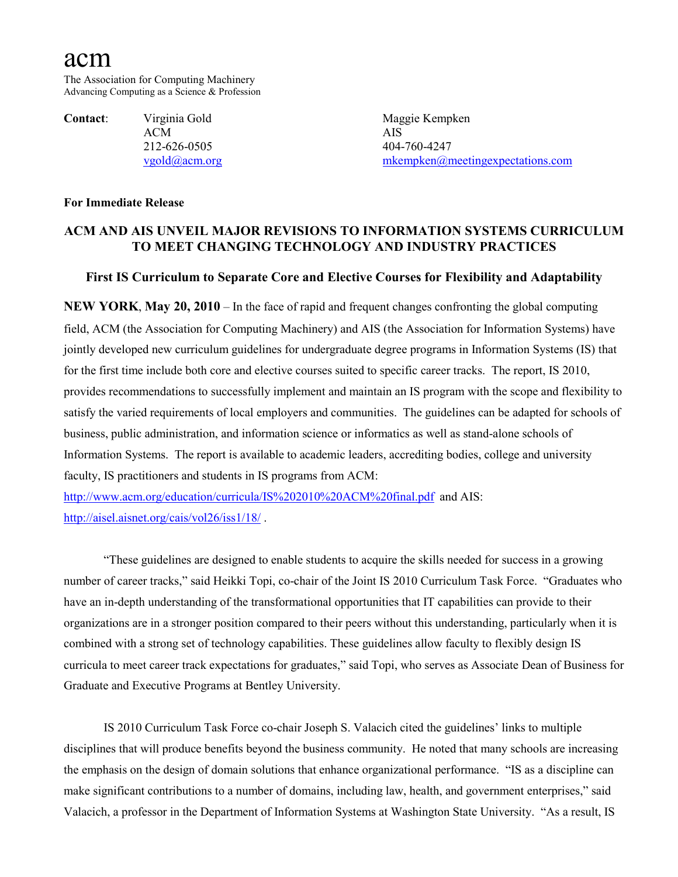# acm

The Association for Computing Machinery Advancing Computing as a Science & Profession

**Contact:** Virginia Gold Maggie Kempken ACM AIS 212-626-0505 404-760-4247

[vgold@acm.org](mailto:vgold@acm.org) [mkempken@meetingexpectations.com](mailto:mkempken@meetingexpectations.com)

### **For Immediate Release**

## **ACM AND AIS UNVEIL MAJOR REVISIONS TO INFORMATION SYSTEMS CURRICULUM TO MEET CHANGING TECHNOLOGY AND INDUSTRY PRACTICES**

## **First IS Curriculum to Separate Core and Elective Courses for Flexibility and Adaptability**

**NEW YORK**, **May 20, 2010** – In the face of rapid and frequent changes confronting the global computing field, ACM (the Association for Computing Machinery) and AIS (the Association for Information Systems) have jointly developed new curriculum guidelines for undergraduate degree programs in Information Systems (IS) that for the first time include both core and elective courses suited to specific career tracks. The report, IS 2010, provides recommendations to successfully implement and maintain an IS program with the scope and flexibility to satisfy the varied requirements of local employers and communities. The guidelines can be adapted for schools of business, public administration, and information science or informatics as well as stand-alone schools of Information Systems. The report is available to academic leaders, accrediting bodies, college and university faculty, IS practitioners and students in IS programs from ACM:

<http://www.acm.org/education/curricula/IS%202010%20ACM%20final.pdf>and AIS: <http://aisel.aisnet.org/cais/vol26/iss1/18/> .

"These guidelines are designed to enable students to acquire the skills needed for success in a growing number of career tracks," said Heikki Topi, co-chair of the Joint IS 2010 Curriculum Task Force. "Graduates who have an in-depth understanding of the transformational opportunities that IT capabilities can provide to their organizations are in a stronger position compared to their peers without this understanding, particularly when it is combined with a strong set of technology capabilities. These guidelines allow faculty to flexibly design IS curricula to meet career track expectations for graduates," said Topi, who serves as Associate Dean of Business for Graduate and Executive Programs at Bentley University.

IS 2010 Curriculum Task Force co-chair Joseph S. Valacich cited the guidelines' links to multiple disciplines that will produce benefits beyond the business community. He noted that many schools are increasing the emphasis on the design of domain solutions that enhance organizational performance. "IS as a discipline can make significant contributions to a number of domains, including law, health, and government enterprises," said Valacich, a professor in the Department of Information Systems at Washington State University. "As a result, IS